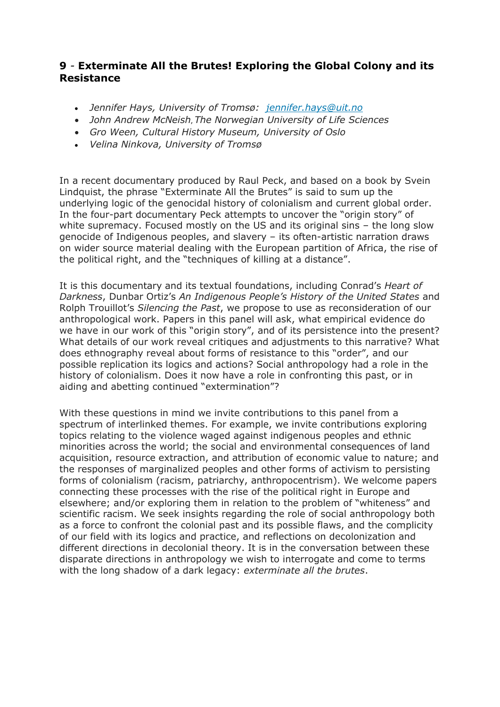#### **9** *-* **Exterminate All the Brutes! Exploring the Global Colony and its Resistance**

- *Jennifer Hays, University of Tromsø: [jennifer.hays@uit.no](mailto:jennifer.hays@uit.no)*
- *John Andrew McNeish*, *The Norwegian University of Life Sciences*
- *Gro Ween, Cultural History Museum, University of Oslo*
- *Velina Ninkova, University of Tromsø*

In a recent documentary produced by Raul Peck, and based on a book by Svein Lindquist, the phrase "Exterminate All the Brutes" is said to sum up the underlying logic of the genocidal history of colonialism and current global order. In the four-part documentary Peck attempts to uncover the "origin story" of white supremacy. Focused mostly on the US and its original sins – the long slow genocide of Indigenous peoples, and slavery – its often-artistic narration draws on wider source material dealing with the European partition of Africa, the rise of the political right, and the "techniques of killing at a distance".

It is this documentary and its textual foundations, including Conrad's *Heart of Darkness*, Dunbar Ortiz's *An Indigenous People's History of the United States* and Rolph Trouillot's *Silencing the Past*, we propose to use as reconsideration of our anthropological work. Papers in this panel will ask, what empirical evidence do we have in our work of this "origin story", and of its persistence into the present? What details of our work reveal critiques and adjustments to this narrative? What does ethnography reveal about forms of resistance to this "order", and our possible replication its logics and actions? Social anthropology had a role in the history of colonialism. Does it now have a role in confronting this past, or in aiding and abetting continued "extermination"?

With these questions in mind we invite contributions to this panel from a spectrum of interlinked themes. For example, we invite contributions exploring topics relating to the violence waged against indigenous peoples and ethnic minorities across the world; the social and environmental consequences of land acquisition, resource extraction, and attribution of economic value to nature; and the responses of marginalized peoples and other forms of activism to persisting forms of colonialism (racism, patriarchy, anthropocentrism). We welcome papers connecting these processes with the rise of the political right in Europe and elsewhere; and/or exploring them in relation to the problem of "whiteness" and scientific racism. We seek insights regarding the role of social anthropology both as a force to confront the colonial past and its possible flaws, and the complicity of our field with its logics and practice, and reflections on decolonization and different directions in decolonial theory. It is in the conversation between these disparate directions in anthropology we wish to interrogate and come to terms with the long shadow of a dark legacy: *exterminate all the brutes*.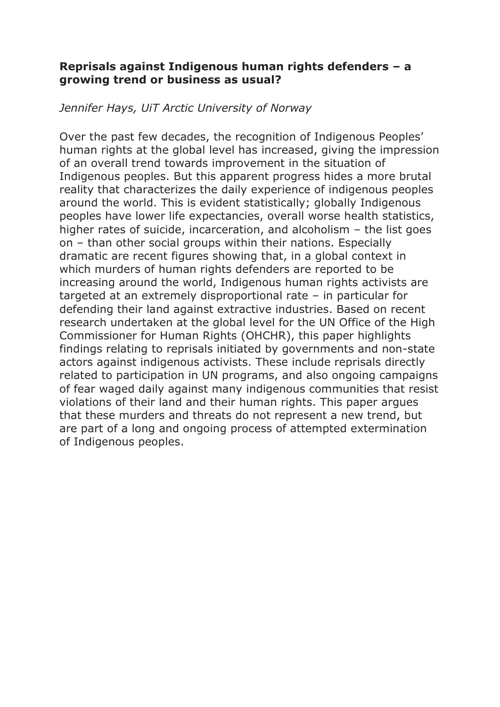# **Reprisals against Indigenous human rights defenders – a growing trend or business as usual?**

#### *Jennifer Hays, UiT Arctic University of Norway*

Over the past few decades, the recognition of Indigenous Peoples' human rights at the global level has increased, giving the impression of an overall trend towards improvement in the situation of Indigenous peoples. But this apparent progress hides a more brutal reality that characterizes the daily experience of indigenous peoples around the world. This is evident statistically; globally Indigenous peoples have lower life expectancies, overall worse health statistics, higher rates of suicide, incarceration, and alcoholism – the list goes on – than other social groups within their nations. Especially dramatic are recent figures showing that, in a global context in which murders of human rights defenders are reported to be increasing around the world, Indigenous human rights activists are targeted at an extremely disproportional rate – in particular for defending their land against extractive industries. Based on recent research undertaken at the global level for the UN Office of the High Commissioner for Human Rights (OHCHR), this paper highlights findings relating to reprisals initiated by governments and non-state actors against indigenous activists. These include reprisals directly related to participation in UN programs, and also ongoing campaigns of fear waged daily against many indigenous communities that resist violations of their land and their human rights. This paper argues that these murders and threats do not represent a new trend, but are part of a long and ongoing process of attempted extermination of Indigenous peoples.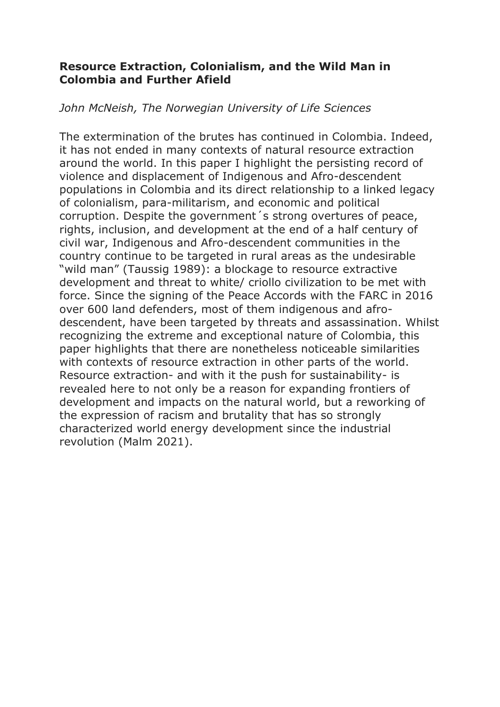# **Resource Extraction, Colonialism, and the Wild Man in Colombia and Further Afield**

### *John McNeish, The Norwegian University of Life Sciences*

The extermination of the brutes has continued in Colombia. Indeed, it has not ended in many contexts of natural resource extraction around the world. In this paper I highlight the persisting record of violence and displacement of Indigenous and Afro-descendent populations in Colombia and its direct relationship to a linked legacy of colonialism, para-militarism, and economic and political corruption. Despite the government´s strong overtures of peace, rights, inclusion, and development at the end of a half century of civil war, Indigenous and Afro-descendent communities in the country continue to be targeted in rural areas as the undesirable "wild man" (Taussig 1989): a blockage to resource extractive development and threat to white/ criollo civilization to be met with force. Since the signing of the Peace Accords with the FARC in 2016 over 600 land defenders, most of them indigenous and afrodescendent, have been targeted by threats and assassination. Whilst recognizing the extreme and exceptional nature of Colombia, this paper highlights that there are nonetheless noticeable similarities with contexts of resource extraction in other parts of the world. Resource extraction- and with it the push for sustainability- is revealed here to not only be a reason for expanding frontiers of development and impacts on the natural world, but a reworking of the expression of racism and brutality that has so strongly characterized world energy development since the industrial revolution (Malm 2021).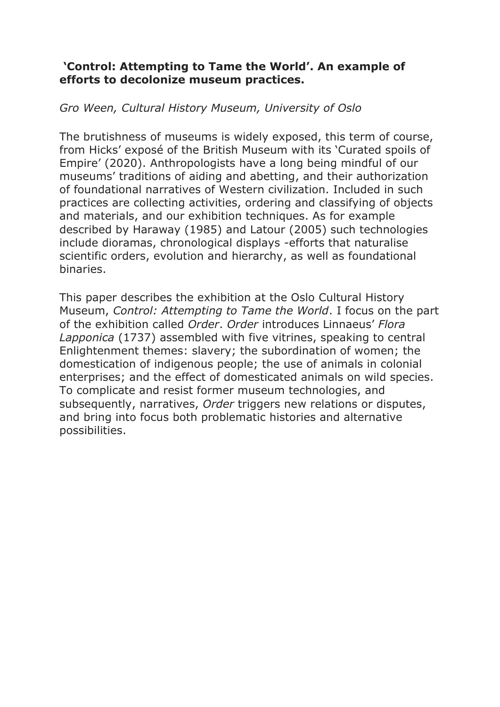# **'Control: Attempting to Tame the World'. An example of efforts to decolonize museum practices.**

# *Gro Ween, Cultural History Museum, University of Oslo*

The brutishness of museums is widely exposed, this term of course, from Hicks' exposé of the British Museum with its 'Curated spoils of Empire' (2020). Anthropologists have a long being mindful of our museums' traditions of aiding and abetting, and their authorization of foundational narratives of Western civilization. Included in such practices are collecting activities, ordering and classifying of objects and materials, and our exhibition techniques. As for example described by Haraway (1985) and Latour (2005) such technologies include dioramas, chronological displays -efforts that naturalise scientific orders, evolution and hierarchy, as well as foundational binaries.

This paper describes the exhibition at the Oslo Cultural History Museum, *Control: Attempting to Tame the World*. I focus on the part of the exhibition called *Order*. *Order* introduces Linnaeus' *Flora Lapponica* (1737) assembled with five vitrines, speaking to central Enlightenment themes: slavery; the subordination of women; the domestication of indigenous people; the use of animals in colonial enterprises; and the effect of domesticated animals on wild species. To complicate and resist former museum technologies, and subsequently, narratives, *Order* triggers new relations or disputes, and bring into focus both problematic histories and alternative possibilities.